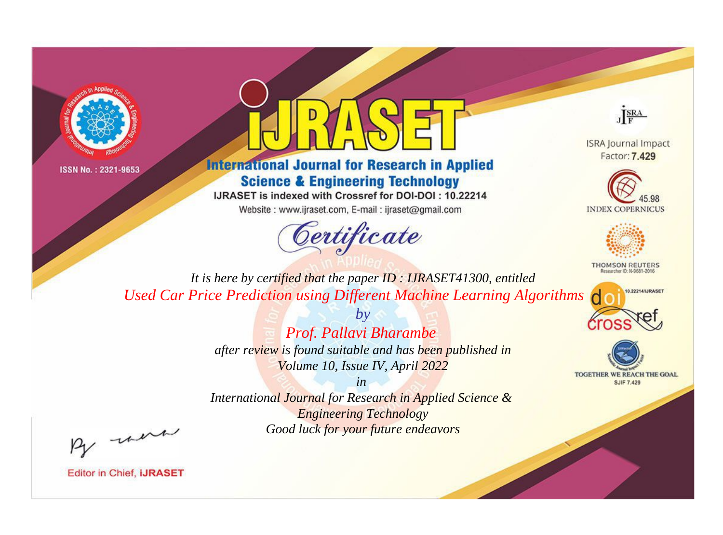



## **International Journal for Research in Applied Science & Engineering Technology**

IJRASET is indexed with Crossref for DOI-DOI: 10.22214

Website: www.ijraset.com, E-mail: ijraset@gmail.com



JERA

**ISRA Journal Impact** Factor: 7,429





**THOMSON REUTERS** 



TOGETHER WE REACH THE GOAL **SJIF 7.429** 

*It is here by certified that the paper ID : IJRASET41300, entitled Used Car Price Prediction using Different Machine Learning Algorithms*

> *by Prof. Pallavi Bharambe after review is found suitable and has been published in Volume 10, Issue IV, April 2022*

> > *in*

*International Journal for Research in Applied Science & Engineering Technology Good luck for your future endeavors*

By morn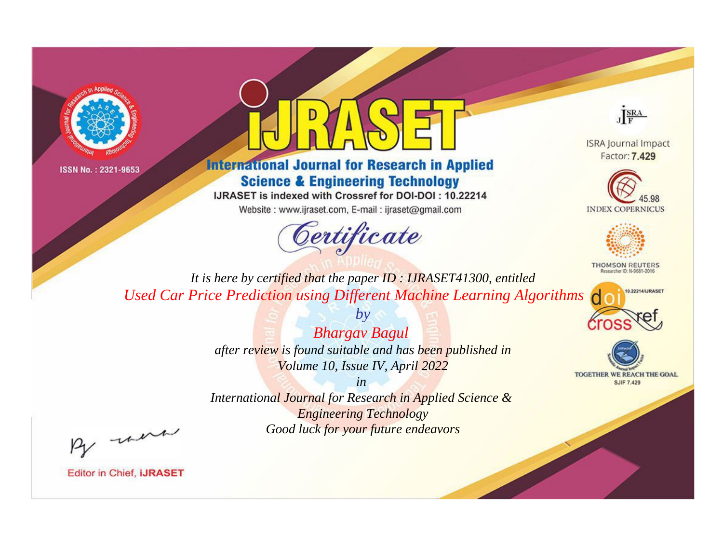



## **International Journal for Research in Applied Science & Engineering Technology**

IJRASET is indexed with Crossref for DOI-DOI: 10.22214

Website: www.ijraset.com, E-mail: ijraset@gmail.com



JERA

**ISRA Journal Impact** Factor: 7.429





**THOMSON REUTERS** 



TOGETHER WE REACH THE GOAL **SJIF 7.429** 

*It is here by certified that the paper ID : IJRASET41300, entitled Used Car Price Prediction using Different Machine Learning Algorithms*

> *Bhargav Bagul after review is found suitable and has been published in Volume 10, Issue IV, April 2022*

*by*

*in* 

*International Journal for Research in Applied Science & Engineering Technology Good luck for your future endeavors*

By morn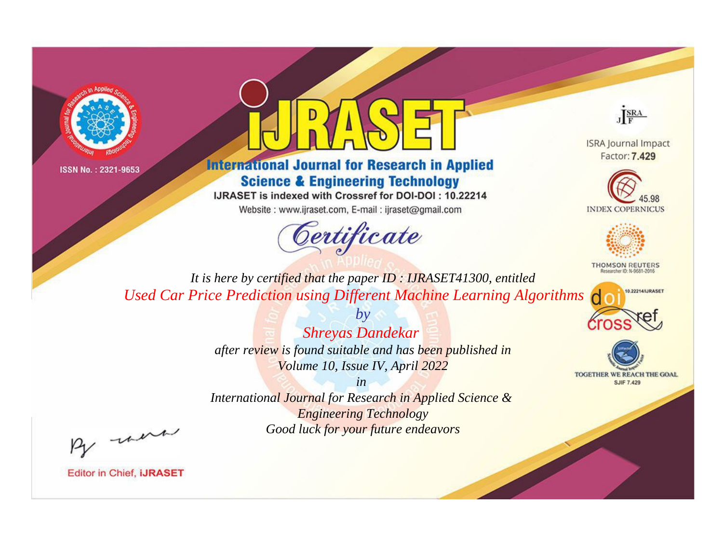



**International Journal for Research in Applied Science & Engineering Technology** 

IJRASET is indexed with Crossref for DOI-DOI: 10.22214

Website: www.ijraset.com, E-mail: ijraset@gmail.com





**ISRA Journal Impact** Factor: 7.429





**THOMSON REUTERS** 



TOGETHER WE REACH THE GOAL **SJIF 7.429** 

*It is here by certified that the paper ID : IJRASET41300, entitled Used Car Price Prediction using Different Machine Learning Algorithms*

> *Shreyas Dandekar after review is found suitable and has been published in*

*by*

*Volume 10, Issue IV, April 2022 in* 

*International Journal for Research in Applied Science & Engineering Technology Good luck for your future endeavors*

By morn